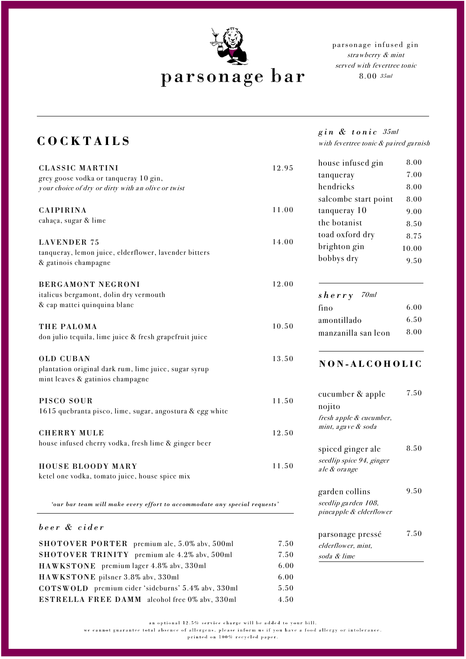

parsonage infused gin stra wberry & mint served with fevertree tonic 8.00 35ml

## **COCKTAILS**

| <b>CLASSIC MARTINI</b>                                                        | 12.95 | house infused gin                              |
|-------------------------------------------------------------------------------|-------|------------------------------------------------|
| grey goose vodka or tanqueray 10 gin,                                         |       | tanqueray                                      |
| your choice of dry or dirty with an olive or twist                            |       | hendricks                                      |
|                                                                               |       | salcombe start point                           |
| <b>CAIPIRINA</b>                                                              | 11.00 | tanqueray 10                                   |
| cahaça, sugar & lime                                                          |       | the botanist                                   |
|                                                                               |       | toad oxford dry                                |
| <b>LAVENDER 75</b>                                                            | 14.00 | brighton gin                                   |
| tanqueray, lemon juice, elderflower, lavender bitters<br>& gatinois champagne |       | bobbys dry                                     |
| <b>BERGAMONT NEGRONI</b>                                                      | 12.00 |                                                |
| italicus bergamont, dolin dry vermouth                                        |       | $s \, h \, e \, r \, r \, y$ 70ml              |
| & cap mattei quinquina blanc                                                  |       | fino                                           |
|                                                                               |       |                                                |
| THE PALOMA                                                                    | 10.50 | amontillado                                    |
| don julio tequila, lime juice & fresh grapefruit juice                        |       | manzanilla san leon                            |
| <b>OLD CUBAN</b>                                                              | 13.50 | NON-ALCOHO                                     |
| plantation original dark rum, lime juice, sugar syrup                         |       |                                                |
| mint leaves & gatinios champagne                                              |       |                                                |
|                                                                               |       | cucumber & apple                               |
| PISCO SOUR                                                                    | 11.50 | nojito                                         |
| 1615 quebranta pisco, lime, sugar, angostura & egg white                      |       | fresh apple & cucumber,                        |
| <b>CHERRY MULE</b>                                                            | 12.50 | mint, a gave & soda                            |
| house infused cherry vodka, fresh lime & ginger beer                          |       |                                                |
|                                                                               |       | spiced ginger ale                              |
|                                                                               | 11.50 | seedlip spice 94, ginger                       |
| HOUSE BLOODY MARY<br>ketel one vodka, tomato juice, house spice mix           |       | ale & orange                                   |
|                                                                               |       |                                                |
|                                                                               |       | garden collins                                 |
| 'our bar team will make every effort to accommodate any special requests'     |       | seedlip garden 108,<br>pineapple & elderflower |
| beer & cider                                                                  |       |                                                |
|                                                                               |       | parsonage pressé                               |
| SHOTOVER PORTER premium ale, 5.0% abv, 500ml                                  | 7.50  | elderflower, mint,                             |
| SHOTOVER TRINITY premium ale 4.2% abv, 500ml                                  | 7.50  | soda & lime                                    |
| HAWKSTONE premium lager 4.8% abv, 330ml                                       | 6.00  |                                                |
| HAWKSTONE pilsner 3.8% abv, 330ml                                             | 6.00  |                                                |

*gin & tonic* 35ml with fevertree tonic & paired garnish

> 8.00 7.00 8.00 8.00 9.00 8.50 8.75 10.00 9.50

> > 6.00 6.50 8.00

> > 7.50

 $LIC$ 

8.50

9.50

7.50

an optional  $12.5\%$  service charge will be added to your bill.

COTSWOLD premium cider 'sideburns' 5.4% abv, 330ml 5.50 ESTRELLA FREE DAMM alcohol free 0% abv, 330ml 4.50

we cannot guarantee total absence of allergens, please inform us if you have a food allergy or intolerance.

printed on 100% recycled paper.